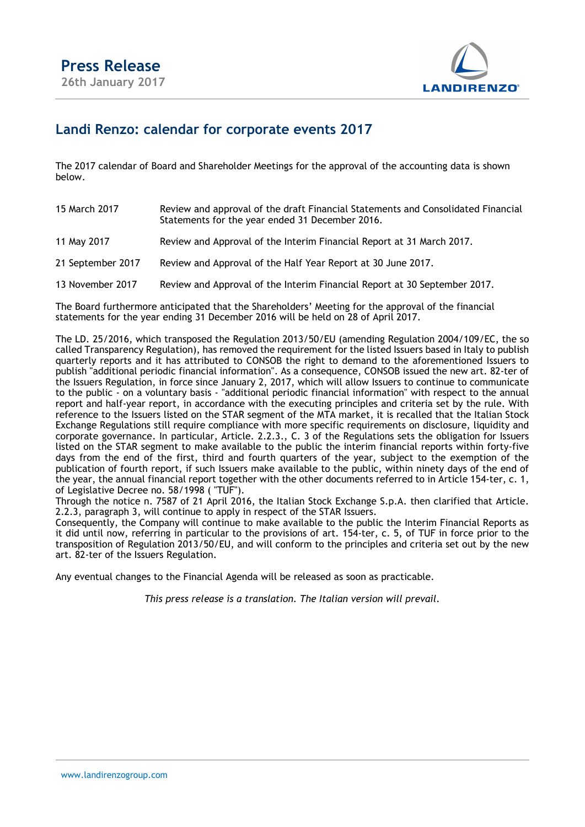

## Landi Renzo: calendar for corporate events 2017

The 2017 calendar of Board and Shareholder Meetings for the approval of the accounting data is shown below.

| 15 March 2017     | Review and approval of the draft Financial Statements and Consolidated Financial<br>Statements for the year ended 31 December 2016. |
|-------------------|-------------------------------------------------------------------------------------------------------------------------------------|
| 11 May 2017       | Review and Approval of the Interim Financial Report at 31 March 2017.                                                               |
| 21 September 2017 | Review and Approval of the Half Year Report at 30 June 2017.                                                                        |
| 13 November 2017  | Review and Approval of the Interim Financial Report at 30 September 2017.                                                           |

The Board furthermore anticipated that the Shareholders' Meeting for the approval of the financial statements for the year ending 31 December 2016 will be held on 28 of April 2017.

The LD. 25/2016, which transposed the Regulation 2013/50/EU (amending Regulation 2004/109/EC, the so called Transparency Regulation), has removed the requirement for the listed Issuers based in Italy to publish quarterly reports and it has attributed to CONSOB the right to demand to the aforementioned Issuers to publish "additional periodic financial information". As a consequence, CONSOB issued the new art. 82-ter of the Issuers Regulation, in force since January 2, 2017, which will allow Issuers to continue to communicate to the public - on a voluntary basis - "additional periodic financial information" with respect to the annual report and half-year report, in accordance with the executing principles and criteria set by the rule. With reference to the Issuers listed on the STAR segment of the MTA market, it is recalled that the Italian Stock Exchange Regulations still require compliance with more specific requirements on disclosure, liquidity and corporate governance. In particular, Article. 2.2.3., C. 3 of the Regulations sets the obligation for Issuers listed on the STAR segment to make available to the public the interim financial reports within forty-five days from the end of the first, third and fourth quarters of the year, subject to the exemption of the publication of fourth report, if such Issuers make available to the public, within ninety days of the end of the year, the annual financial report together with the other documents referred to in Article 154-ter, c. 1, of Legislative Decree no. 58/1998 ( "TUF").

Through the notice n. 7587 of 21 April 2016, the Italian Stock Exchange S.p.A. then clarified that Article. 2.2.3, paragraph 3, will continue to apply in respect of the STAR Issuers.

Consequently, the Company will continue to make available to the public the Interim Financial Reports as it did until now, referring in particular to the provisions of art. 154-ter, c. 5, of TUF in force prior to the transposition of Regulation 2013/50/EU, and will conform to the principles and criteria set out by the new art. 82-ter of the Issuers Regulation.

Any eventual changes to the Financial Agenda will be released as soon as practicable.

This press release is a translation. The Italian version will prevail.